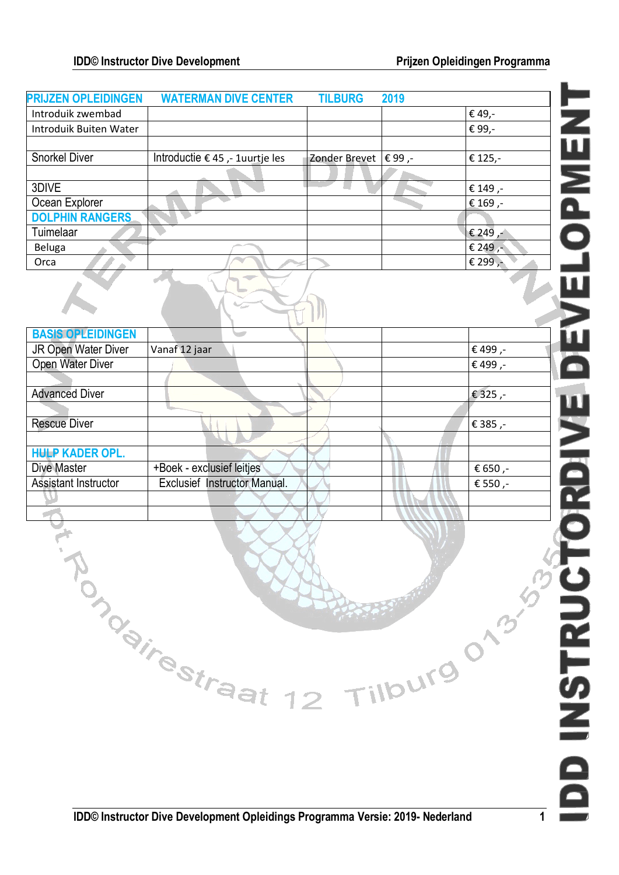| <b>PRIJZEN OPLEIDINGEN</b>    | <b>WATERMAN DIVE CENTER</b>     | <b>TILBURG</b>         | 2019 |                        |
|-------------------------------|---------------------------------|------------------------|------|------------------------|
| Introduik zwembad             |                                 |                        |      | € 49,-                 |
| <b>Introduik Buiten Water</b> |                                 |                        |      | ZWEN<br>Open<br>€ 99,- |
|                               |                                 |                        |      |                        |
| <b>Snorkel Diver</b>          | Introductie € 45 ,- 1uurtje les | Zonder Brevet   € 99,- |      | € 125,-                |
|                               |                                 |                        |      |                        |
| 3DIVE                         |                                 |                        |      | € 149,-                |
| Ocean Explorer                |                                 |                        |      | € 169,-                |
| <b>DOLPHIN RANGERS</b>        |                                 |                        |      |                        |
| Tuimelaar                     |                                 |                        |      | € 249 $, 1$            |
| Beluga                        |                                 |                        |      | € 249,-                |
| Orca                          |                                 |                        |      | € 299,-                |
|                               |                                 |                        |      |                        |
| <b>BASIS OPLEIDINGEN</b>      |                                 |                        |      |                        |
| JR Open Water Diver           | Vanaf 12 jaar                   |                        |      | € 499,-                |
| Open Water Diver              |                                 |                        |      | € 499,-                |
|                               |                                 |                        |      |                        |
| <b>Advanced Diver</b>         |                                 |                        |      | € 325,-                |
|                               |                                 |                        |      |                        |
| <b>Rescue Diver</b>           |                                 |                        |      |                        |
|                               |                                 |                        |      | € 385,-                |
| <b>HULP KADER OPL.</b>        |                                 |                        |      |                        |
|                               |                                 |                        |      |                        |
| Dive Master                   | +Boek - exclusief leitjes       |                        |      | € 650,-                |
| Assistant Instructor          | Exclusief Instructor Manual.    |                        |      | € 550,-                |
|                               |                                 |                        |      | V RDI V                |
|                               |                                 |                        |      |                        |
|                               |                                 |                        |      |                        |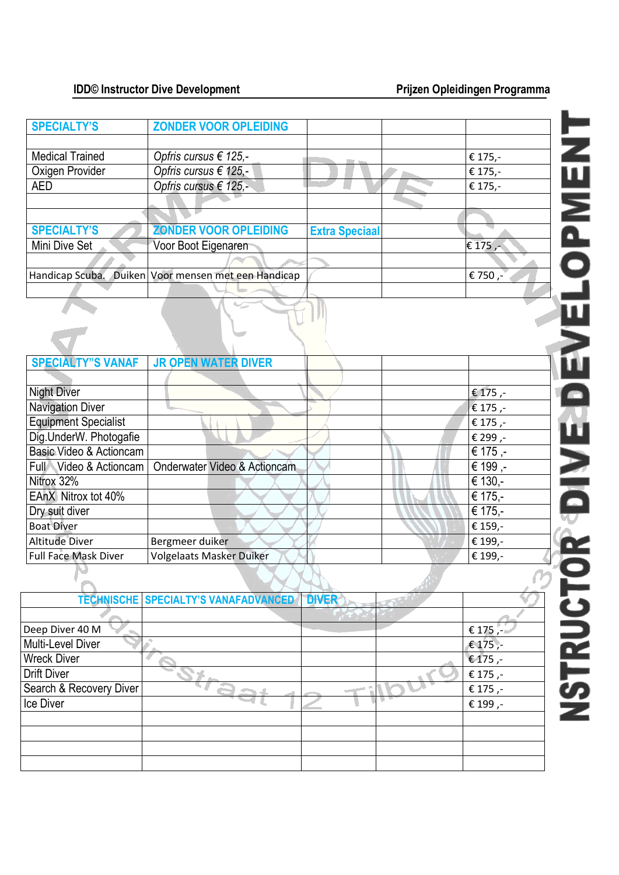| <b>SPECIALTY'S</b>     | <b>ZONDER VOOR OPLEIDING</b>                        |                       |           |
|------------------------|-----------------------------------------------------|-----------------------|-----------|
|                        |                                                     |                       |           |
| <b>Medical Trained</b> | Opfris cursus € 125,-                               |                       | € 175,-   |
| Oxigen Provider        | Opfris cursus € 125,-                               |                       | € 175,-   |
| <b>AED</b>             | Opfris cursus € 125,-                               |                       | € 175,-   |
|                        |                                                     |                       |           |
|                        |                                                     |                       |           |
| <b>SPECIALTY'S</b>     | <b>ZONDER VOOR OPLEIDING</b>                        | <b>Extra Speciaal</b> |           |
| Mini Dive Set          | Voor Boot Eigenaren                                 |                       | € 175 $,$ |
|                        |                                                     |                       |           |
|                        | Handicap Scuba. Duiken Voor mensen met een Handicap |                       | € 750,-   |
|                        |                                                     |                       |           |
|                        |                                                     |                       |           |

| <b>SPECIALTY"S VANAF</b>    | <b>JR OPEN WATER DIVER</b>      |         |
|-----------------------------|---------------------------------|---------|
|                             |                                 |         |
| <b>Night Diver</b>          |                                 | € 175,- |
| <b>Navigation Diver</b>     |                                 | € 175,- |
| <b>Equipment Specialist</b> |                                 | € 175,- |
| Dig.UnderW. Photogafie      |                                 | € 299,- |
| Basic Video & Actioncam     |                                 | € 175,- |
| Full Video & Actioncam      | Onderwater Video & Actioncam    | € 199,- |
| Nitrox 32%                  |                                 | € 130,- |
| EAnX Nitrox tot 40%         |                                 | € 175,- |
| Dry suit diver              |                                 | € 175,- |
| <b>Boat Diver</b>           |                                 | € 159,- |
| <b>Altitude Diver</b>       | Bergmeer duiker                 | € 199,- |
| <b>Full Face Mask Diver</b> | <b>Volgelaats Masker Duiker</b> | € 199,- |

|                         | <b>TECHNISCHE SPECIALTY'S VANAFADVANCED</b> | <b>DIVER</b> |         |
|-------------------------|---------------------------------------------|--------------|---------|
|                         |                                             |              |         |
| Deep Diver 40 M         |                                             |              | € 175,- |
| Multi-Level Diver       |                                             |              | € 175,- |
| <b>Wreck Diver</b>      |                                             |              | € 175,- |
| <b>Drift Diver</b>      |                                             |              | € 175,- |
| Search & Recovery Diver |                                             |              | € 175,- |
| Ice Diver               |                                             |              | € 199,- |
|                         |                                             |              |         |
|                         |                                             |              |         |
|                         |                                             |              |         |
|                         |                                             |              |         |